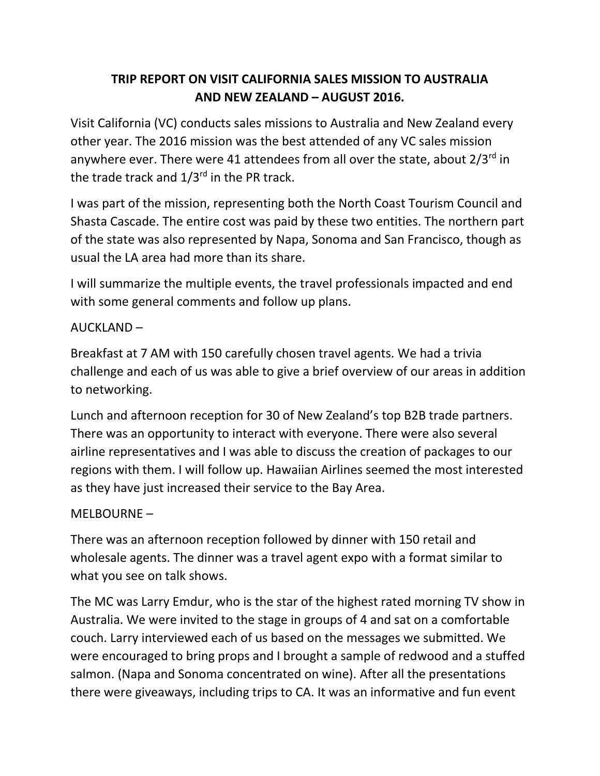# **TRIP REPORT ON VISIT CALIFORNIA SALES MISSION TO AUSTRALIA AND NEW ZEALAND – AUGUST 2016.**

Visit California (VC) conducts sales missions to Australia and New Zealand every other year. The 2016 mission was the best attended of any VC sales mission anywhere ever. There were 41 attendees from all over the state, about  $2/3^{rd}$  in the trade track and  $1/3^{rd}$  in the PR track.

I was part of the mission, representing both the North Coast Tourism Council and Shasta Cascade. The entire cost was paid by these two entities. The northern part of the state was also represented by Napa, Sonoma and San Francisco, though as usual the LA area had more than its share.

I will summarize the multiple events, the travel professionals impacted and end with some general comments and follow up plans.

#### AUCKLAND –

Breakfast at 7 AM with 150 carefully chosen travel agents. We had a trivia challenge and each of us was able to give a brief overview of our areas in addition to networking.

Lunch and afternoon reception for 30 of New Zealand's top B2B trade partners. There was an opportunity to interact with everyone. There were also several airline representatives and I was able to discuss the creation of packages to our regions with them. I will follow up. Hawaiian Airlines seemed the most interested as they have just increased their service to the Bay Area.

### MELBOURNE –

There was an afternoon reception followed by dinner with 150 retail and wholesale agents. The dinner was a travel agent expo with a format similar to what you see on talk shows.

The MC was Larry Emdur, who is the star of the highest rated morning TV show in Australia. We were invited to the stage in groups of 4 and sat on a comfortable couch. Larry interviewed each of us based on the messages we submitted. We were encouraged to bring props and I brought a sample of redwood and a stuffed salmon. (Napa and Sonoma concentrated on wine). After all the presentations there were giveaways, including trips to CA. It was an informative and fun event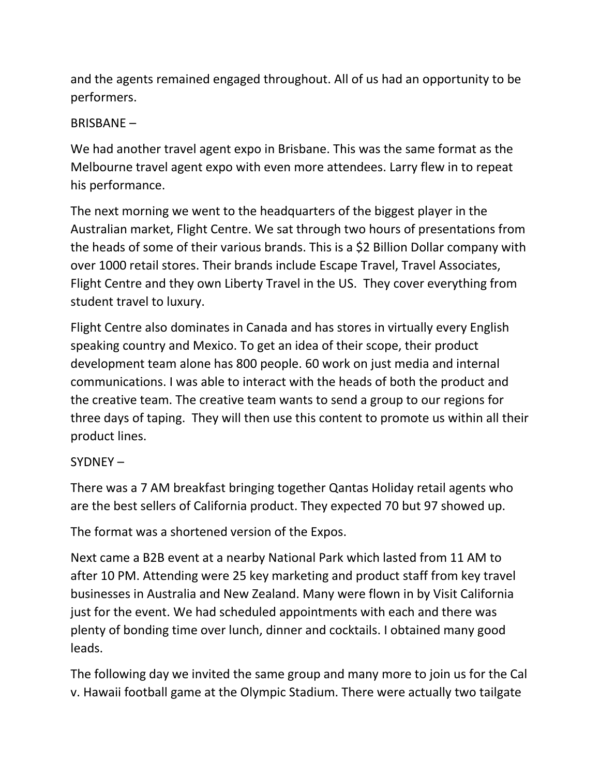and the agents remained engaged throughout. All of us had an opportunity to be performers.

### BRISBANE –

We had another travel agent expo in Brisbane. This was the same format as the Melbourne travel agent expo with even more attendees. Larry flew in to repeat his performance.

The next morning we went to the headquarters of the biggest player in the Australian market, Flight Centre. We sat through two hours of presentations from the heads of some of their various brands. This is a \$2 Billion Dollar company with over 1000 retail stores. Their brands include Escape Travel, Travel Associates, Flight Centre and they own Liberty Travel in the US. They cover everything from student travel to luxury.

Flight Centre also dominates in Canada and has stores in virtually every English speaking country and Mexico. To get an idea of their scope, their product development team alone has 800 people. 60 work on just media and internal communications. I was able to interact with the heads of both the product and the creative team. The creative team wants to send a group to our regions for three days of taping. They will then use this content to promote us within all their product lines.

SYDNEY –

There was a 7 AM breakfast bringing together Qantas Holiday retail agents who are the best sellers of California product. They expected 70 but 97 showed up.

The format was a shortened version of the Expos.

Next came a B2B event at a nearby National Park which lasted from 11 AM to after 10 PM. Attending were 25 key marketing and product staff from key travel businesses in Australia and New Zealand. Many were flown in by Visit California just for the event. We had scheduled appointments with each and there was plenty of bonding time over lunch, dinner and cocktails. I obtained many good leads.

The following day we invited the same group and many more to join us for the Cal v. Hawaii football game at the Olympic Stadium. There were actually two tailgate